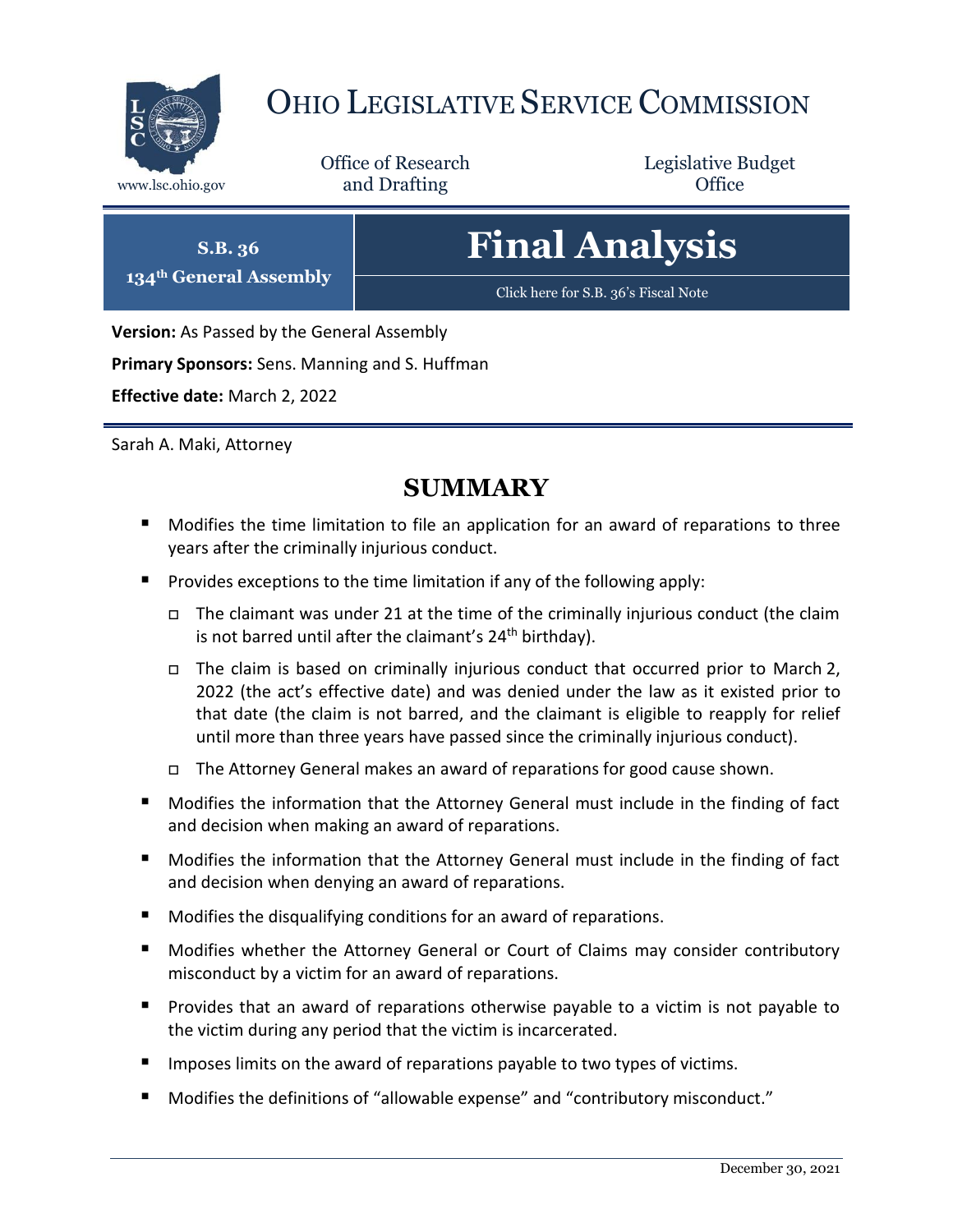

# OHIO LEGISLATIVE SERVICE COMMISSION

Office of Research www.lsc.ohio.gov **and Drafting Office** 

Legislative Budget

**S.B. 36 134th General Assembly** **Final Analysis**

[Click here for S.B. 36](https://www.legislature.ohio.gov/legislation/legislation-documents?id=GA134-SB-36)'s Fiscal Note

**Version:** As Passed by the General Assembly

**Primary Sponsors:** Sens. Manning and S. Huffman

**Effective date:** March 2, 2022

Sarah A. Maki, Attorney

# **SUMMARY**

- Modifies the time limitation to file an application for an award of reparations to three years after the criminally injurious conduct.
- **Provides exceptions to the time limitation if any of the following apply:** 
	- $\Box$  The claimant was under 21 at the time of the criminally injurious conduct (the claim is not barred until after the claimant's  $24<sup>th</sup>$  birthday).
	- $\Box$  The claim is based on criminally injurious conduct that occurred prior to March 2, 2022 (the act's effective date) and was denied under the law as it existed prior to that date (the claim is not barred, and the claimant is eligible to reapply for relief until more than three years have passed since the criminally injurious conduct).
	- The Attorney General makes an award of reparations for good cause shown.
- **Modifies the information that the Attorney General must include in the finding of fact** and decision when making an award of reparations.
- **Modifies the information that the Attorney General must include in the finding of fact** and decision when denying an award of reparations.
- Modifies the disqualifying conditions for an award of reparations.
- Modifies whether the Attorney General or Court of Claims may consider contributory misconduct by a victim for an award of reparations.
- **Provides that an award of reparations otherwise payable to a victim is not payable to** the victim during any period that the victim is incarcerated.
- $\blacksquare$  Imposes limits on the award of reparations payable to two types of victims.
- Modifies the definitions of "allowable expense" and "contributory misconduct."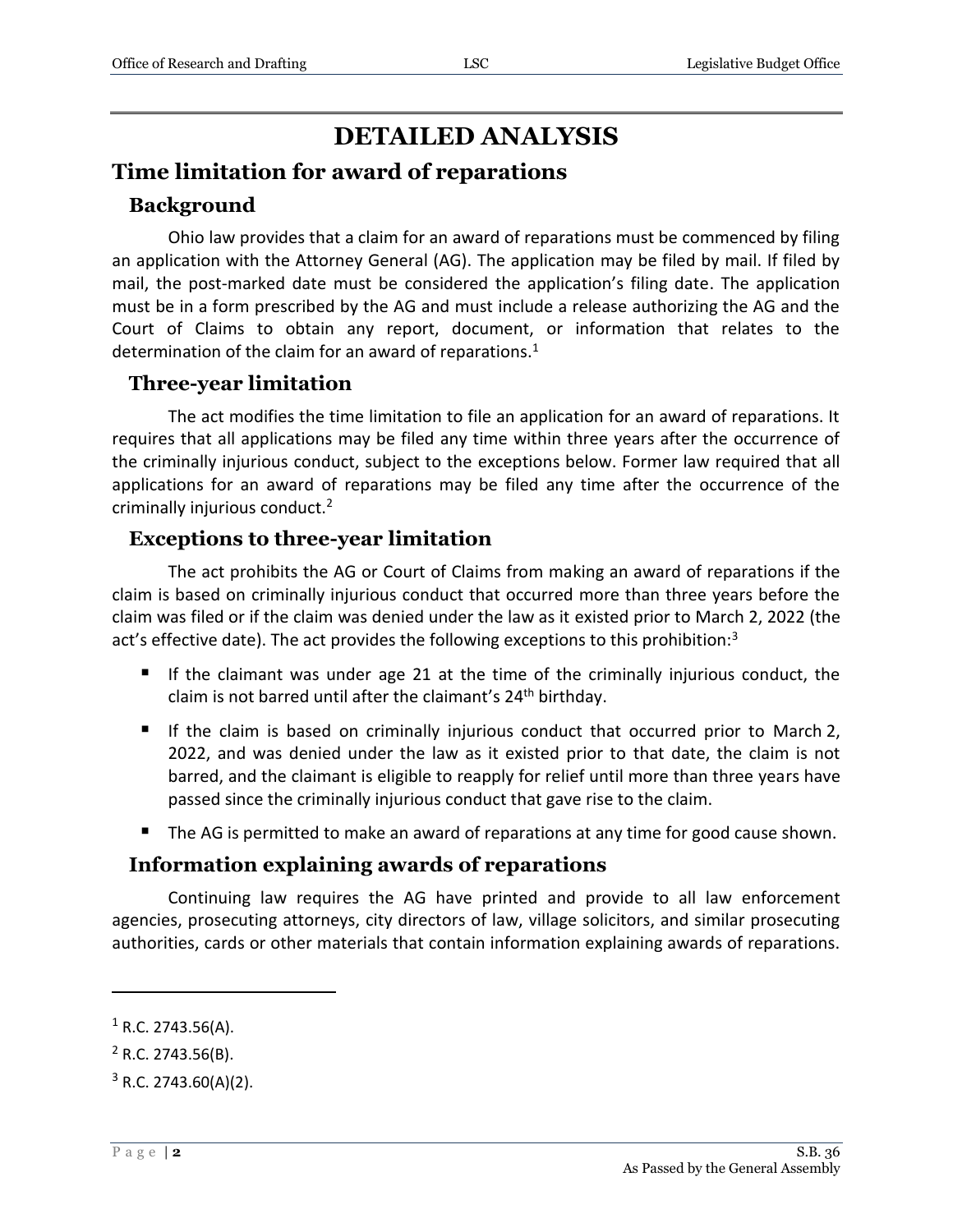# **DETAILED ANALYSIS**

# **Time limitation for award of reparations**

#### **Background**

Ohio law provides that a claim for an award of reparations must be commenced by filing an application with the Attorney General (AG). The application may be filed by mail. If filed by mail, the post-marked date must be considered the application's filing date. The application must be in a form prescribed by the AG and must include a release authorizing the AG and the Court of Claims to obtain any report, document, or information that relates to the determination of the claim for an award of reparations. $1$ 

### **Three-year limitation**

The act modifies the time limitation to file an application for an award of reparations. It requires that all applications may be filed any time within three years after the occurrence of the criminally injurious conduct, subject to the exceptions below. Former law required that all applications for an award of reparations may be filed any time after the occurrence of the criminally injurious conduct.<sup>2</sup>

### **Exceptions to three-year limitation**

The act prohibits the AG or Court of Claims from making an award of reparations if the claim is based on criminally injurious conduct that occurred more than three years before the claim was filed or if the claim was denied under the law as it existed prior to March 2, 2022 (the act's effective date). The act provides the following exceptions to this prohibition: $3$ 

- If the claimant was under age 21 at the time of the criminally injurious conduct, the claim is not barred until after the claimant's 24<sup>th</sup> birthday.
- If the claim is based on criminally injurious conduct that occurred prior to March 2, 2022, and was denied under the law as it existed prior to that date, the claim is not barred, and the claimant is eligible to reapply for relief until more than three years have passed since the criminally injurious conduct that gave rise to the claim.
- The AG is permitted to make an award of reparations at any time for good cause shown.

#### **Information explaining awards of reparations**

Continuing law requires the AG have printed and provide to all law enforcement agencies, prosecuting attorneys, city directors of law, village solicitors, and similar prosecuting authorities, cards or other materials that contain information explaining awards of reparations.

 $1$  R.C. 2743.56(A).

 $2$  R.C. 2743.56(B).

 $3$  R.C. 2743.60(A)(2).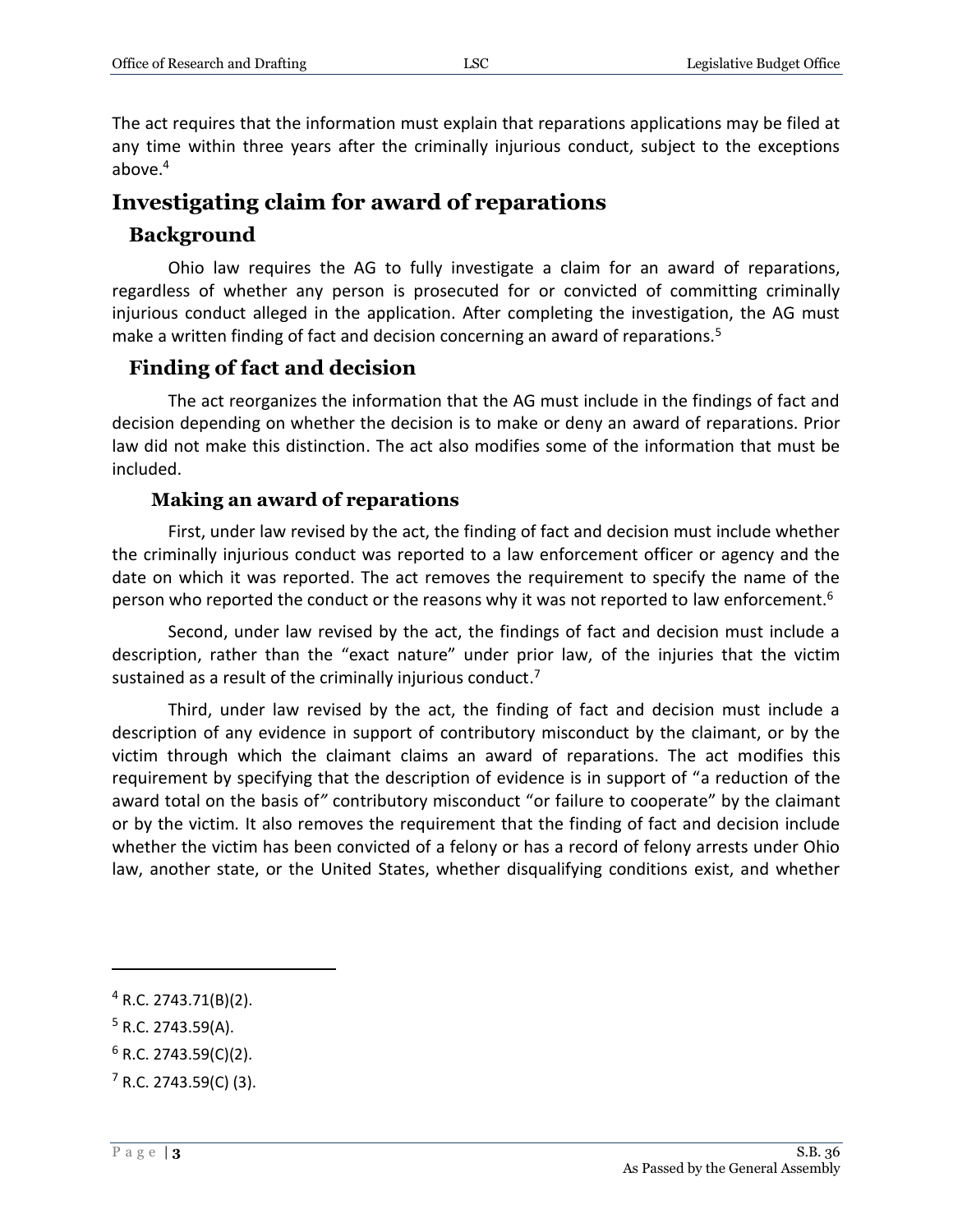The act requires that the information must explain that reparations applications may be filed at any time within three years after the criminally injurious conduct, subject to the exceptions above.<sup>4</sup>

## **Investigating claim for award of reparations**

#### **Background**

Ohio law requires the AG to fully investigate a claim for an award of reparations, regardless of whether any person is prosecuted for or convicted of committing criminally injurious conduct alleged in the application. After completing the investigation, the AG must make a written finding of fact and decision concerning an award of reparations.<sup>5</sup>

#### **Finding of fact and decision**

The act reorganizes the information that the AG must include in the findings of fact and decision depending on whether the decision is to make or deny an award of reparations. Prior law did not make this distinction. The act also modifies some of the information that must be included.

#### **Making an award of reparations**

First, under law revised by the act, the finding of fact and decision must include whether the criminally injurious conduct was reported to a law enforcement officer or agency and the date on which it was reported. The act removes the requirement to specify the name of the person who reported the conduct or the reasons why it was not reported to law enforcement.<sup>6</sup>

Second, under law revised by the act, the findings of fact and decision must include a description, rather than the "exact nature" under prior law, of the injuries that the victim sustained as a result of the criminally injurious conduct.<sup>7</sup>

Third, under law revised by the act, the finding of fact and decision must include a description of any evidence in support of contributory misconduct by the claimant, or by the victim through which the claimant claims an award of reparations. The act modifies this requirement by specifying that the description of evidence is in support of "a reduction of the award total on the basis of*"* contributory misconduct "or failure to cooperate" by the claimant or by the victim*.* It also removes the requirement that the finding of fact and decision include whether the victim has been convicted of a felony or has a record of felony arrests under Ohio law, another state, or the United States, whether disqualifying conditions exist, and whether

<sup>4</sup> R.C. 2743.71(B)(2).

 $5$  R.C. 2743.59(A).

 $6$  R.C. 2743.59(C)(2).

 $7$  R.C. 2743.59(C) (3).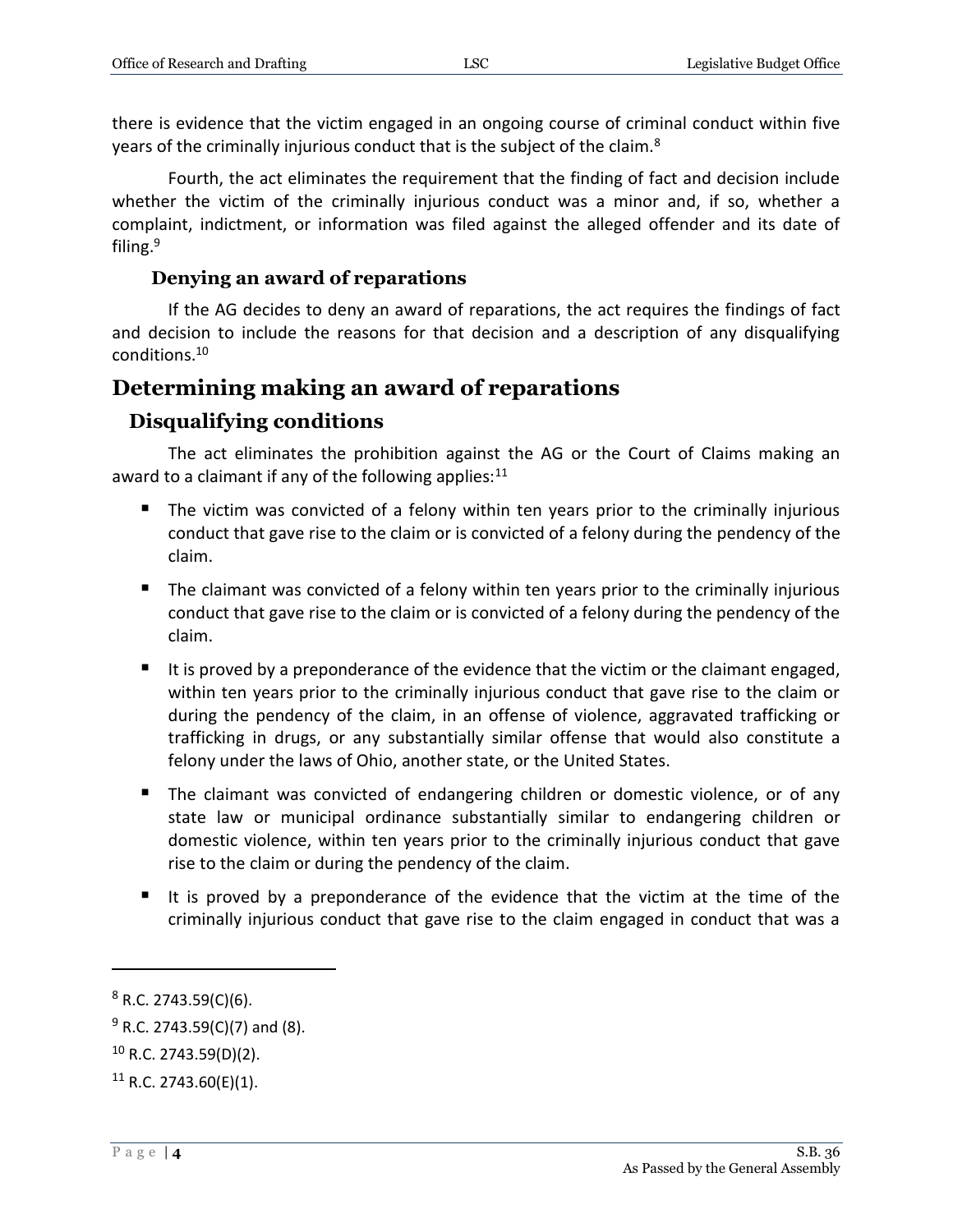there is evidence that the victim engaged in an ongoing course of criminal conduct within five years of the criminally injurious conduct that is the subject of the claim.<sup>8</sup>

Fourth, the act eliminates the requirement that the finding of fact and decision include whether the victim of the criminally injurious conduct was a minor and, if so, whether a complaint, indictment, or information was filed against the alleged offender and its date of filing.<sup>9</sup>

#### **Denying an award of reparations**

If the AG decides to deny an award of reparations, the act requires the findings of fact and decision to include the reasons for that decision and a description of any disqualifying conditions.<sup>10</sup>

# **Determining making an award of reparations**

# **Disqualifying conditions**

The act eliminates the prohibition against the AG or the Court of Claims making an award to a claimant if any of the following applies: $11$ 

- The victim was convicted of a felony within ten years prior to the criminally injurious conduct that gave rise to the claim or is convicted of a felony during the pendency of the claim.
- The claimant was convicted of a felony within ten years prior to the criminally injurious conduct that gave rise to the claim or is convicted of a felony during the pendency of the claim.
- $\blacksquare$  It is proved by a preponderance of the evidence that the victim or the claimant engaged, within ten years prior to the criminally injurious conduct that gave rise to the claim or during the pendency of the claim, in an offense of violence, aggravated trafficking or trafficking in drugs, or any substantially similar offense that would also constitute a felony under the laws of Ohio, another state, or the United States.
- **The claimant was convicted of endangering children or domestic violence, or of any** state law or municipal ordinance substantially similar to endangering children or domestic violence, within ten years prior to the criminally injurious conduct that gave rise to the claim or during the pendency of the claim.
- It is proved by a preponderance of the evidence that the victim at the time of the criminally injurious conduct that gave rise to the claim engaged in conduct that was a

 $8$  R.C. 2743.59(C)(6).

 $9$  R.C. 2743.59(C)(7) and (8).

<sup>10</sup> R.C. 2743.59(D)(2).

 $11$  R.C. 2743.60(E)(1).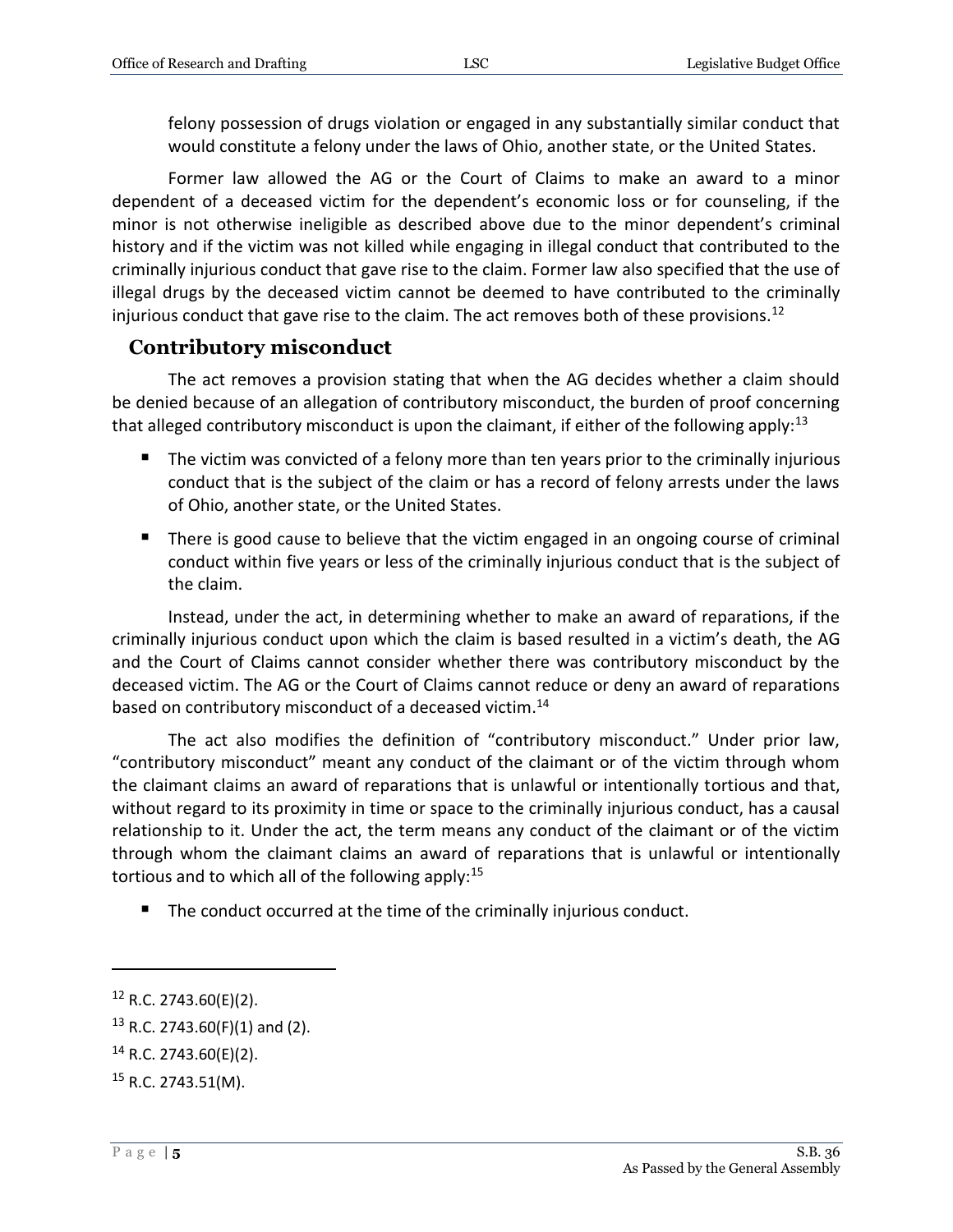felony possession of drugs violation or engaged in any substantially similar conduct that would constitute a felony under the laws of Ohio, another state, or the United States.

Former law allowed the AG or the Court of Claims to make an award to a minor dependent of a deceased victim for the dependent's economic loss or for counseling, if the minor is not otherwise ineligible as described above due to the minor dependent's criminal history and if the victim was not killed while engaging in illegal conduct that contributed to the criminally injurious conduct that gave rise to the claim. Former law also specified that the use of illegal drugs by the deceased victim cannot be deemed to have contributed to the criminally injurious conduct that gave rise to the claim. The act removes both of these provisions.<sup>12</sup>

#### **Contributory misconduct**

The act removes a provision stating that when the AG decides whether a claim should be denied because of an allegation of contributory misconduct, the burden of proof concerning that alleged contributory misconduct is upon the claimant, if either of the following apply:<sup>13</sup>

- The victim was convicted of a felony more than ten years prior to the criminally injurious conduct that is the subject of the claim or has a record of felony arrests under the laws of Ohio, another state, or the United States.
- **There is good cause to believe that the victim engaged in an ongoing course of criminal** conduct within five years or less of the criminally injurious conduct that is the subject of the claim.

Instead, under the act, in determining whether to make an award of reparations, if the criminally injurious conduct upon which the claim is based resulted in a victim's death, the AG and the Court of Claims cannot consider whether there was contributory misconduct by the deceased victim. The AG or the Court of Claims cannot reduce or deny an award of reparations based on contributory misconduct of a deceased victim.<sup>14</sup>

The act also modifies the definition of "contributory misconduct." Under prior law, "contributory misconduct" meant any conduct of the claimant or of the victim through whom the claimant claims an award of reparations that is unlawful or intentionally tortious and that, without regard to its proximity in time or space to the criminally injurious conduct, has a causal relationship to it. Under the act, the term means any conduct of the claimant or of the victim through whom the claimant claims an award of reparations that is unlawful or intentionally tortious and to which all of the following apply: $15$ 

■ The conduct occurred at the time of the criminally injurious conduct.

<sup>12</sup> R.C. 2743.60(E)(2).

 $13$  R.C. 2743.60(F)(1) and (2).

<sup>14</sup> R.C. 2743.60(E)(2).

<sup>15</sup> R.C. 2743.51(M).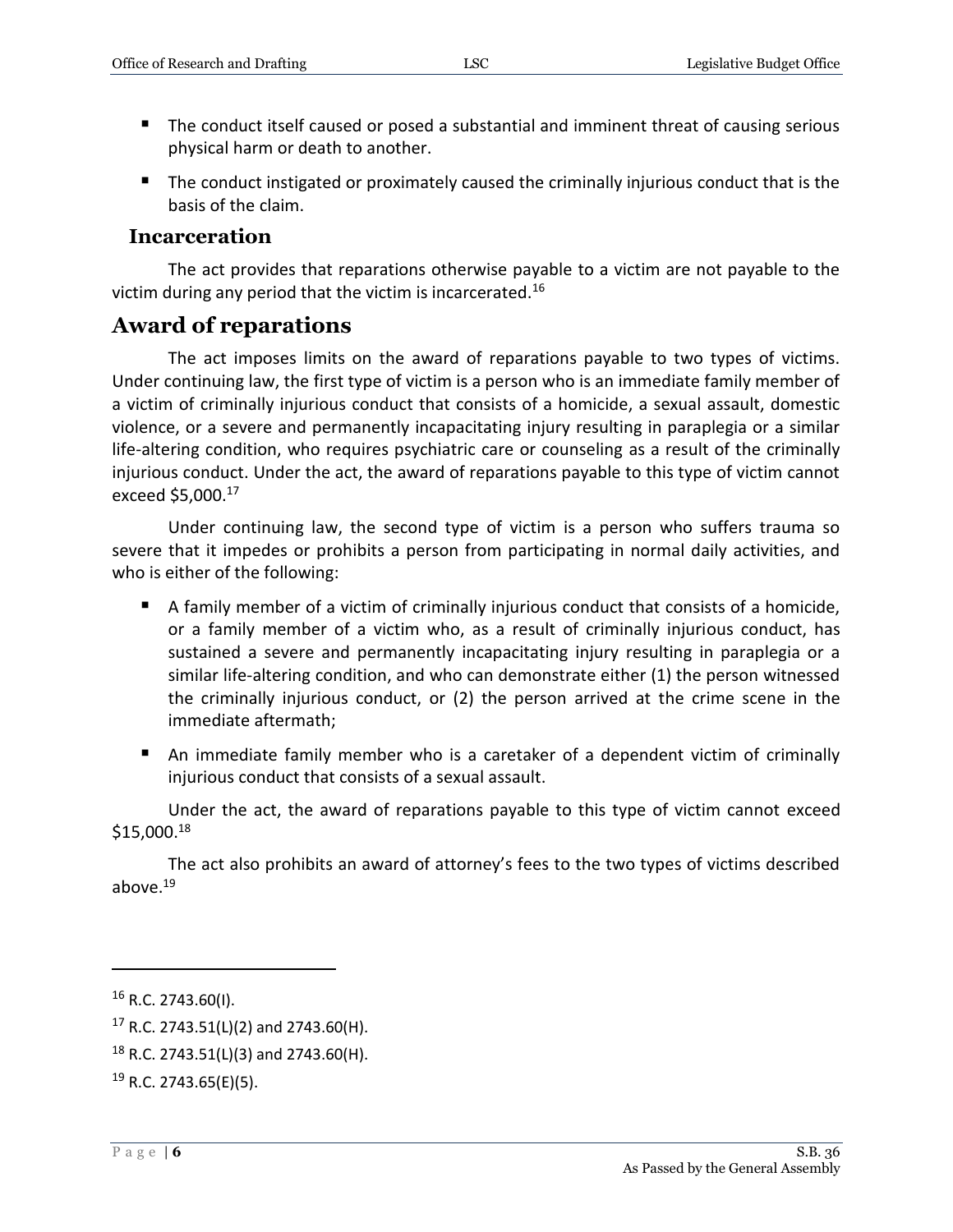- The conduct itself caused or posed a substantial and imminent threat of causing serious physical harm or death to another.
- The conduct instigated or proximately caused the criminally injurious conduct that is the basis of the claim.

#### **Incarceration**

The act provides that reparations otherwise payable to a victim are not payable to the victim during any period that the victim is incarcerated.<sup>16</sup>

### **Award of reparations**

The act imposes limits on the award of reparations payable to two types of victims. Under continuing law, the first type of victim is a person who is an immediate family member of a victim of criminally injurious conduct that consists of a homicide, a sexual assault, domestic violence, or a severe and permanently incapacitating injury resulting in paraplegia or a similar life-altering condition, who requires psychiatric care or counseling as a result of the criminally injurious conduct. Under the act, the award of reparations payable to this type of victim cannot exceed \$5,000.<sup>17</sup>

Under continuing law, the second type of victim is a person who suffers trauma so severe that it impedes or prohibits a person from participating in normal daily activities, and who is either of the following:

- A family member of a victim of criminally injurious conduct that consists of a homicide, or a family member of a victim who, as a result of criminally injurious conduct, has sustained a severe and permanently incapacitating injury resulting in paraplegia or a similar life-altering condition, and who can demonstrate either (1) the person witnessed the criminally injurious conduct, or (2) the person arrived at the crime scene in the immediate aftermath;
- An immediate family member who is a caretaker of a dependent victim of criminally injurious conduct that consists of a sexual assault.

Under the act, the award of reparations payable to this type of victim cannot exceed \$15,000.<sup>18</sup>

The act also prohibits an award of attorney's fees to the two types of victims described above.<sup>19</sup>

<sup>16</sup> R.C. 2743.60(I).

 $17$  R.C. 2743.51(L)(2) and 2743.60(H).

 $18$  R.C. 2743.51(L)(3) and 2743.60(H).

 $19$  R.C. 2743.65(E)(5).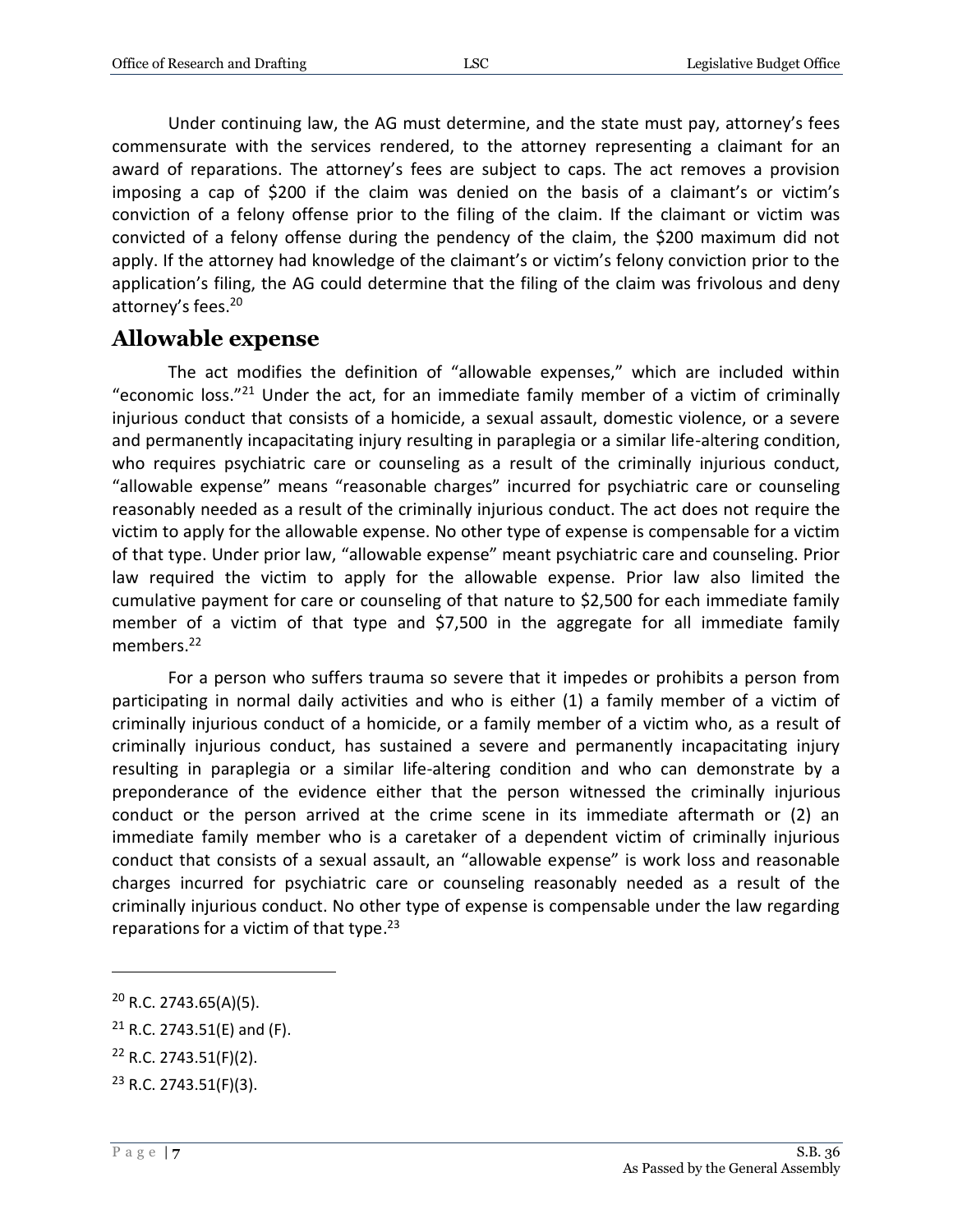Under continuing law, the AG must determine, and the state must pay, attorney's fees commensurate with the services rendered, to the attorney representing a claimant for an award of reparations. The attorney's fees are subject to caps. The act removes a provision imposing a cap of \$200 if the claim was denied on the basis of a claimant's or victim's conviction of a felony offense prior to the filing of the claim. If the claimant or victim was convicted of a felony offense during the pendency of the claim, the \$200 maximum did not apply. If the attorney had knowledge of the claimant's or victim's felony conviction prior to the application's filing, the AG could determine that the filing of the claim was frivolous and deny attorney's fees.<sup>20</sup>

#### **Allowable expense**

The act modifies the definition of "allowable expenses," which are included within "economic loss."<sup>21</sup> Under the act, for an immediate family member of a victim of criminally injurious conduct that consists of a homicide, a sexual assault, domestic violence, or a severe and permanently incapacitating injury resulting in paraplegia or a similar life-altering condition, who requires psychiatric care or counseling as a result of the criminally injurious conduct, "allowable expense" means "reasonable charges" incurred for psychiatric care or counseling reasonably needed as a result of the criminally injurious conduct. The act does not require the victim to apply for the allowable expense. No other type of expense is compensable for a victim of that type. Under prior law, "allowable expense" meant psychiatric care and counseling. Prior law required the victim to apply for the allowable expense. Prior law also limited the cumulative payment for care or counseling of that nature to \$2,500 for each immediate family member of a victim of that type and \$7,500 in the aggregate for all immediate family members.<sup>22</sup>

For a person who suffers trauma so severe that it impedes or prohibits a person from participating in normal daily activities and who is either (1) a family member of a victim of criminally injurious conduct of a homicide, or a family member of a victim who, as a result of criminally injurious conduct, has sustained a severe and permanently incapacitating injury resulting in paraplegia or a similar life-altering condition and who can demonstrate by a preponderance of the evidence either that the person witnessed the criminally injurious conduct or the person arrived at the crime scene in its immediate aftermath or (2) an immediate family member who is a caretaker of a dependent victim of criminally injurious conduct that consists of a sexual assault, an "allowable expense" is work loss and reasonable charges incurred for psychiatric care or counseling reasonably needed as a result of the criminally injurious conduct. No other type of expense is compensable under the law regarding reparations for a victim of that type.<sup>23</sup>

 $20$  R.C. 2743.65(A)(5).

 $21$  R.C. 2743.51(E) and (F).

<sup>22</sup> R.C. 2743.51(F)(2).

<sup>23</sup> R.C. 2743.51(F)(3).